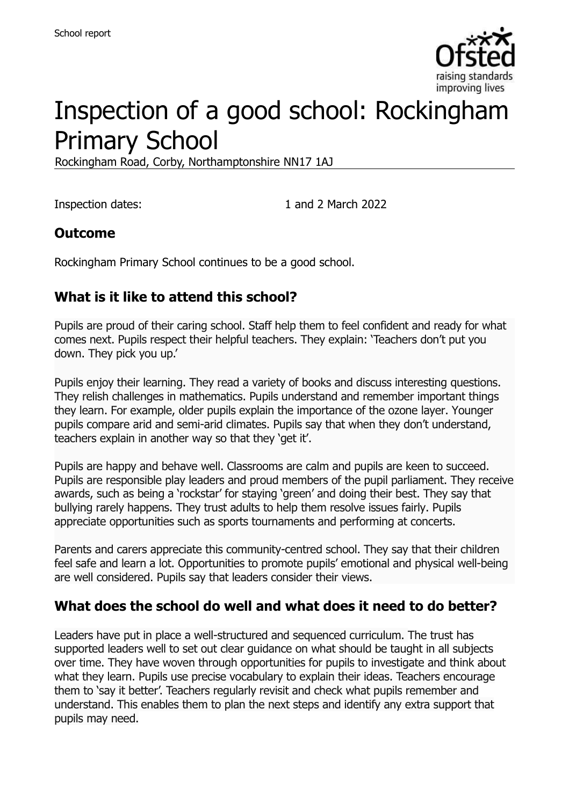

# Inspection of a good school: Rockingham Primary School

Rockingham Road, Corby, Northamptonshire NN17 1AJ

Inspection dates: 1 and 2 March 2022

#### **Outcome**

Rockingham Primary School continues to be a good school.

## **What is it like to attend this school?**

Pupils are proud of their caring school. Staff help them to feel confident and ready for what comes next. Pupils respect their helpful teachers. They explain: 'Teachers don't put you down. They pick you up.'

Pupils enjoy their learning. They read a variety of books and discuss interesting questions. They relish challenges in mathematics. Pupils understand and remember important things they learn. For example, older pupils explain the importance of the ozone layer. Younger pupils compare arid and semi-arid climates. Pupils say that when they don't understand, teachers explain in another way so that they 'get it'.

Pupils are happy and behave well. Classrooms are calm and pupils are keen to succeed. Pupils are responsible play leaders and proud members of the pupil parliament. They receive awards, such as being a 'rockstar' for staying 'green' and doing their best. They say that bullying rarely happens. They trust adults to help them resolve issues fairly. Pupils appreciate opportunities such as sports tournaments and performing at concerts.

Parents and carers appreciate this community-centred school. They say that their children feel safe and learn a lot. Opportunities to promote pupils' emotional and physical well-being are well considered. Pupils say that leaders consider their views.

#### **What does the school do well and what does it need to do better?**

Leaders have put in place a well-structured and sequenced curriculum. The trust has supported leaders well to set out clear guidance on what should be taught in all subjects over time. They have woven through opportunities for pupils to investigate and think about what they learn. Pupils use precise vocabulary to explain their ideas. Teachers encourage them to 'say it better'. Teachers regularly revisit and check what pupils remember and understand. This enables them to plan the next steps and identify any extra support that pupils may need.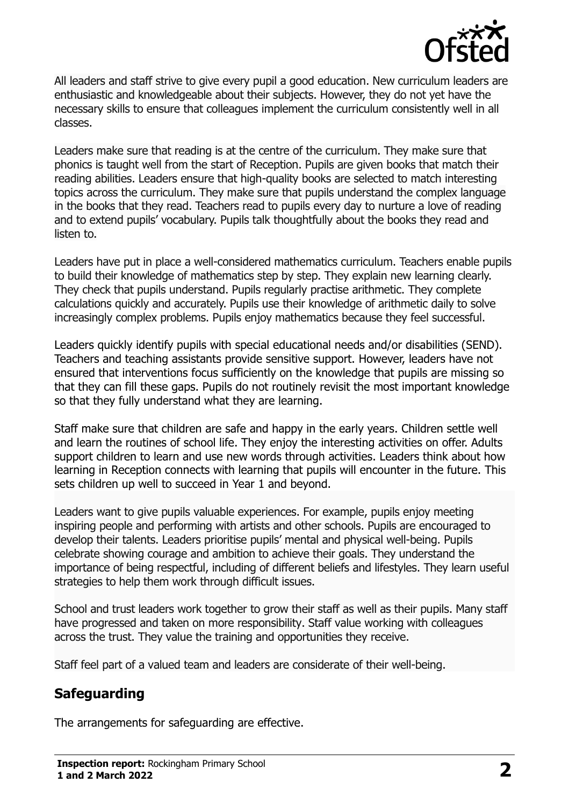

All leaders and staff strive to give every pupil a good education. New curriculum leaders are enthusiastic and knowledgeable about their subjects. However, they do not yet have the necessary skills to ensure that colleagues implement the curriculum consistently well in all classes.

Leaders make sure that reading is at the centre of the curriculum. They make sure that phonics is taught well from the start of Reception. Pupils are given books that match their reading abilities. Leaders ensure that high-quality books are selected to match interesting topics across the curriculum. They make sure that pupils understand the complex language in the books that they read. Teachers read to pupils every day to nurture a love of reading and to extend pupils' vocabulary. Pupils talk thoughtfully about the books they read and listen to.

Leaders have put in place a well-considered mathematics curriculum. Teachers enable pupils to build their knowledge of mathematics step by step. They explain new learning clearly. They check that pupils understand. Pupils regularly practise arithmetic. They complete calculations quickly and accurately. Pupils use their knowledge of arithmetic daily to solve increasingly complex problems. Pupils enjoy mathematics because they feel successful.

Leaders quickly identify pupils with special educational needs and/or disabilities (SEND). Teachers and teaching assistants provide sensitive support. However, leaders have not ensured that interventions focus sufficiently on the knowledge that pupils are missing so that they can fill these gaps. Pupils do not routinely revisit the most important knowledge so that they fully understand what they are learning.

Staff make sure that children are safe and happy in the early years. Children settle well and learn the routines of school life. They enjoy the interesting activities on offer. Adults support children to learn and use new words through activities. Leaders think about how learning in Reception connects with learning that pupils will encounter in the future. This sets children up well to succeed in Year 1 and beyond.

Leaders want to give pupils valuable experiences. For example, pupils enjoy meeting inspiring people and performing with artists and other schools. Pupils are encouraged to develop their talents. Leaders prioritise pupils' mental and physical well-being. Pupils celebrate showing courage and ambition to achieve their goals. They understand the importance of being respectful, including of different beliefs and lifestyles. They learn useful strategies to help them work through difficult issues.

School and trust leaders work together to grow their staff as well as their pupils. Many staff have progressed and taken on more responsibility. Staff value working with colleagues across the trust. They value the training and opportunities they receive.

Staff feel part of a valued team and leaders are considerate of their well-being.

#### **Safeguarding**

The arrangements for safeguarding are effective.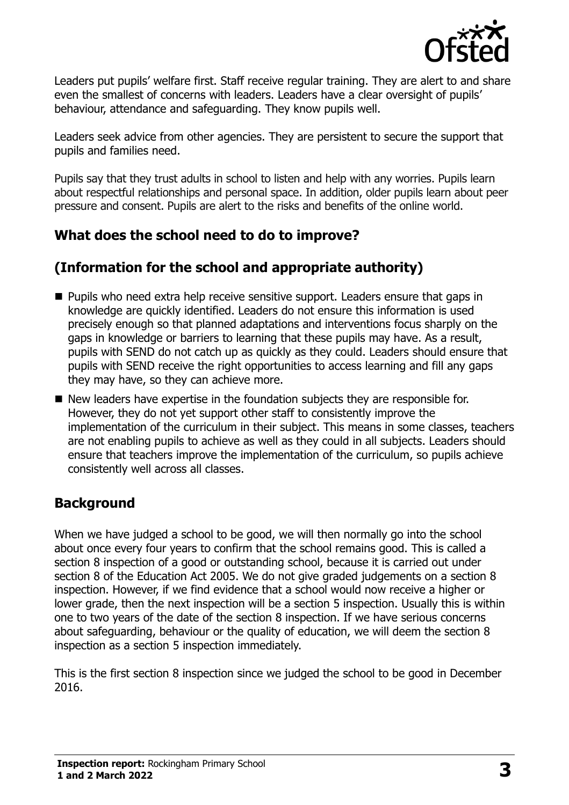

Leaders put pupils' welfare first. Staff receive regular training. They are alert to and share even the smallest of concerns with leaders. Leaders have a clear oversight of pupils' behaviour, attendance and safeguarding. They know pupils well.

Leaders seek advice from other agencies. They are persistent to secure the support that pupils and families need.

Pupils say that they trust adults in school to listen and help with any worries. Pupils learn about respectful relationships and personal space. In addition, older pupils learn about peer pressure and consent. Pupils are alert to the risks and benefits of the online world.

## **What does the school need to do to improve?**

## **(Information for the school and appropriate authority)**

- **Pupils who need extra help receive sensitive support. Leaders ensure that gaps in** knowledge are quickly identified. Leaders do not ensure this information is used precisely enough so that planned adaptations and interventions focus sharply on the gaps in knowledge or barriers to learning that these pupils may have. As a result, pupils with SEND do not catch up as quickly as they could. Leaders should ensure that pupils with SEND receive the right opportunities to access learning and fill any gaps they may have, so they can achieve more.
- New leaders have expertise in the foundation subjects they are responsible for. However, they do not yet support other staff to consistently improve the implementation of the curriculum in their subject. This means in some classes, teachers are not enabling pupils to achieve as well as they could in all subjects. Leaders should ensure that teachers improve the implementation of the curriculum, so pupils achieve consistently well across all classes.

## **Background**

When we have judged a school to be good, we will then normally go into the school about once every four years to confirm that the school remains good. This is called a section 8 inspection of a good or outstanding school, because it is carried out under section 8 of the Education Act 2005. We do not give graded judgements on a section 8 inspection. However, if we find evidence that a school would now receive a higher or lower grade, then the next inspection will be a section 5 inspection. Usually this is within one to two years of the date of the section 8 inspection. If we have serious concerns about safeguarding, behaviour or the quality of education, we will deem the section 8 inspection as a section 5 inspection immediately.

This is the first section 8 inspection since we judged the school to be good in December 2016.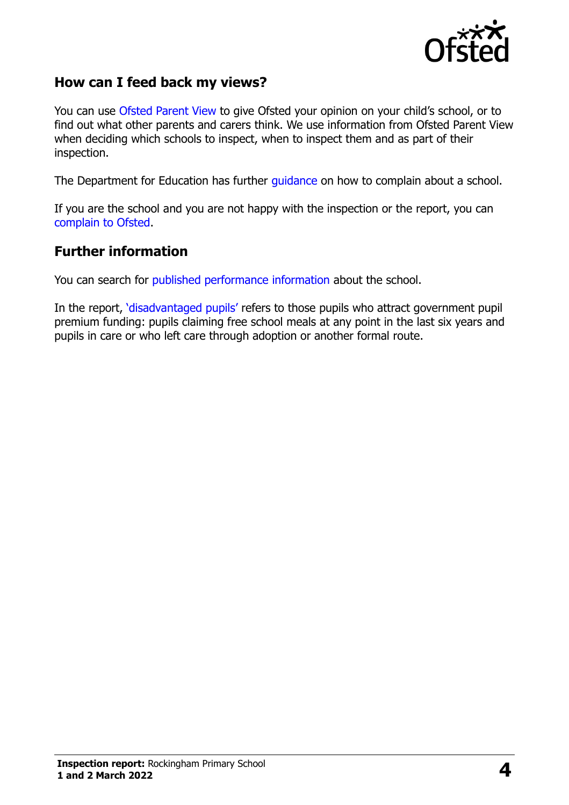

#### **How can I feed back my views?**

You can use [Ofsted Parent View](https://parentview.ofsted.gov.uk/) to give Ofsted your opinion on your child's school, or to find out what other parents and carers think. We use information from Ofsted Parent View when deciding which schools to inspect, when to inspect them and as part of their inspection.

The Department for Education has further [guidance](http://www.gov.uk/complain-about-school) on how to complain about a school.

If you are the school and you are not happy with the inspection or the report, you can [complain to Ofsted.](https://www.gov.uk/complain-ofsted-report)

#### **Further information**

You can search for [published performance information](http://www.compare-school-performance.service.gov.uk/) about the school.

In the report, '[disadvantaged pupils](http://www.gov.uk/guidance/pupil-premium-information-for-schools-and-alternative-provision-settings)' refers to those pupils who attract government pupil premium funding: pupils claiming free school meals at any point in the last six years and pupils in care or who left care through adoption or another formal route.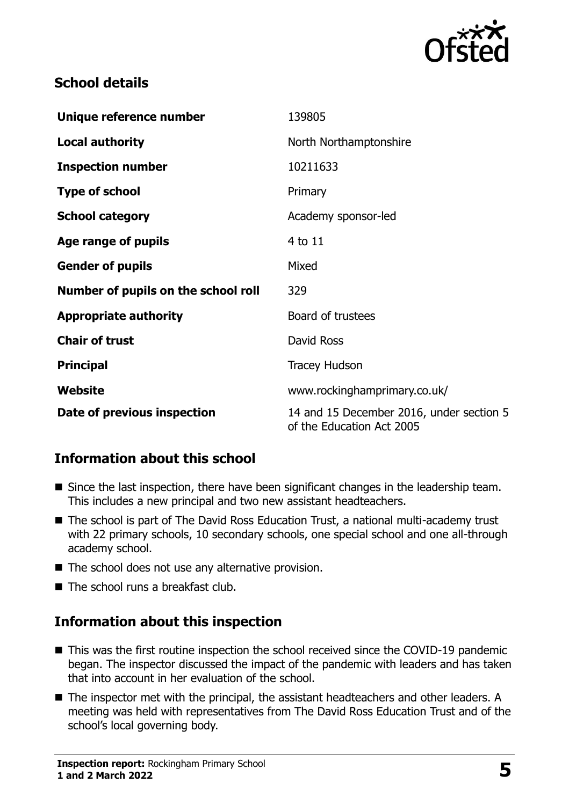

### **School details**

| Unique reference number             | 139805                                                                |
|-------------------------------------|-----------------------------------------------------------------------|
| <b>Local authority</b>              | North Northamptonshire                                                |
| <b>Inspection number</b>            | 10211633                                                              |
| <b>Type of school</b>               | Primary                                                               |
| <b>School category</b>              | Academy sponsor-led                                                   |
| Age range of pupils                 | 4 to 11                                                               |
| <b>Gender of pupils</b>             | Mixed                                                                 |
| Number of pupils on the school roll | 329                                                                   |
| <b>Appropriate authority</b>        | Board of trustees                                                     |
| <b>Chair of trust</b>               | David Ross                                                            |
| <b>Principal</b>                    | Tracey Hudson                                                         |
| Website                             | www.rockinghamprimary.co.uk/                                          |
| Date of previous inspection         | 14 and 15 December 2016, under section 5<br>of the Education Act 2005 |

## **Information about this school**

- Since the last inspection, there have been significant changes in the leadership team. This includes a new principal and two new assistant headteachers.
- The school is part of The David Ross Education Trust, a national multi-academy trust with 22 primary schools, 10 secondary schools, one special school and one all-through academy school.
- $\blacksquare$  The school does not use any alternative provision.
- $\blacksquare$  The school runs a breakfast club.

## **Information about this inspection**

- This was the first routine inspection the school received since the COVID-19 pandemic began. The inspector discussed the impact of the pandemic with leaders and has taken that into account in her evaluation of the school.
- The inspector met with the principal, the assistant headteachers and other leaders. A meeting was held with representatives from The David Ross Education Trust and of the school's local governing body.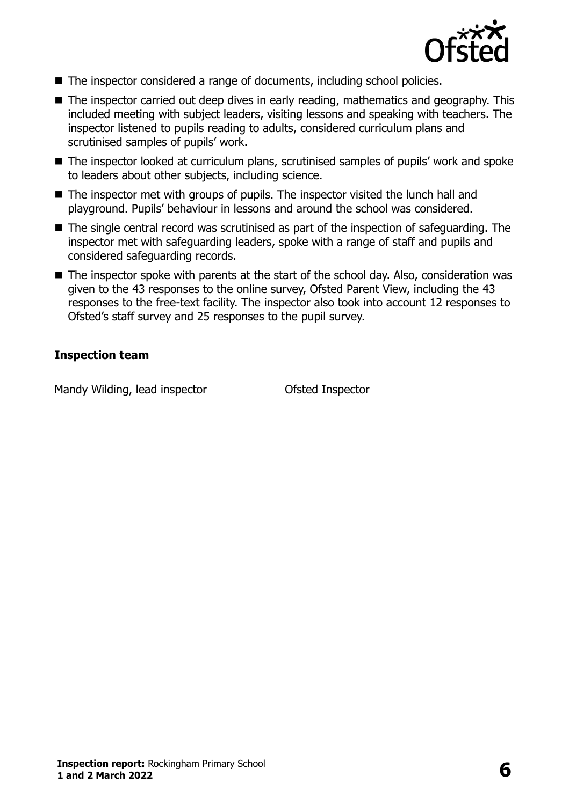

- The inspector considered a range of documents, including school policies.
- The inspector carried out deep dives in early reading, mathematics and geography. This included meeting with subject leaders, visiting lessons and speaking with teachers. The inspector listened to pupils reading to adults, considered curriculum plans and scrutinised samples of pupils' work.
- The inspector looked at curriculum plans, scrutinised samples of pupils' work and spoke to leaders about other subjects, including science.
- The inspector met with groups of pupils. The inspector visited the lunch hall and playground. Pupils' behaviour in lessons and around the school was considered.
- The single central record was scrutinised as part of the inspection of safeguarding. The inspector met with safeguarding leaders, spoke with a range of staff and pupils and considered safeguarding records.
- The inspector spoke with parents at the start of the school day. Also, consideration was given to the 43 responses to the online survey, Ofsted Parent View, including the 43 responses to the free-text facility. The inspector also took into account 12 responses to Ofsted's staff survey and 25 responses to the pupil survey.

#### **Inspection team**

Mandy Wilding, lead inspector **Ofsted Inspector**